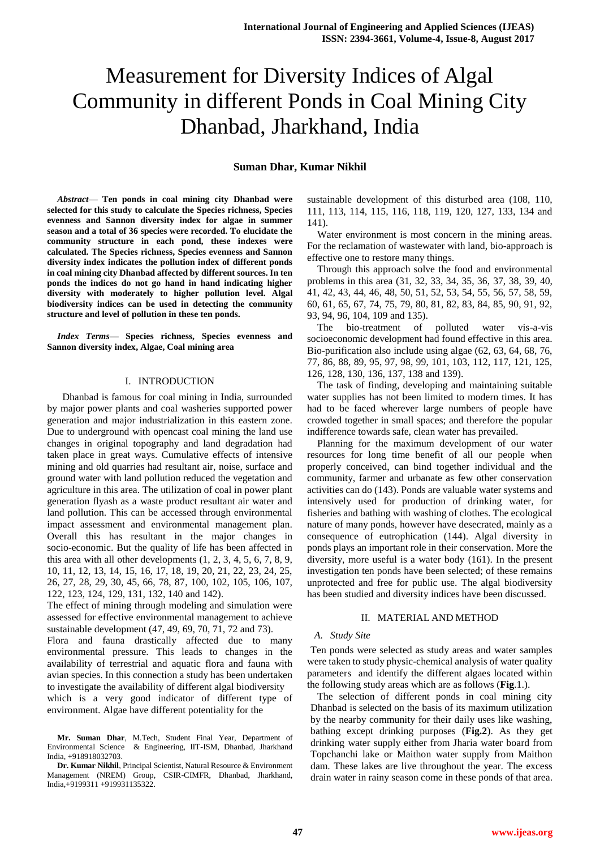## **Suman Dhar, Kumar Nikhil**

*Abstract*— **Ten ponds in coal mining city Dhanbad were selected for this study to calculate the Species richness, Species evenness and Sannon diversity index for algae in summer season and a total of 36 species were recorded. To elucidate the community structure in each pond, these indexes were calculated. The Species richness, Species evenness and Sannon diversity index indicates the pollution index of different ponds in coal mining city Dhanbad affected by different sources. In ten ponds the indices do not go hand in hand indicating higher diversity with moderately to higher pollution level. Algal biodiversity indices can be used in detecting the community structure and level of pollution in these ten ponds.**

*Index Terms***— Species richness, Species evenness and Sannon diversity index, Algae, Coal mining area**

#### I. INTRODUCTION

 Dhanbad is famous for coal mining in India, surrounded by major power plants and coal washeries supported power generation and major industrialization in this eastern zone. Due to underground with opencast coal mining the land use changes in original topography and land degradation had taken place in great ways. Cumulative effects of intensive mining and old quarries had resultant air, noise, surface and ground water with land pollution reduced the vegetation and agriculture in this area. The utilization of coal in power plant generation flyash as a waste product resultant air water and land pollution. This can be accessed through environmental impact assessment and environmental management plan. Overall this has resultant in the major changes in socio-economic. But the quality of life has been affected in this area with all other developments  $(1, 2, 3, 4, 5, 6, 7, 8, 9, 9)$ 10, 11, 12, 13, 14, 15, 16, 17, 18, 19, 20, 21, 22, 23, 24, 25, 26, 27, 28, 29, 30, 45, 66, 78, 87, 100, 102, 105, 106, 107, 122, 123, 124, 129, 131, 132, 140 and 142).

The effect of mining through modeling and simulation were assessed for effective environmental management to achieve sustainable development (47, 49, 69, 70, 71, 72 and 73). Flora and fauna drastically affected due to many environmental pressure. This leads to changes in the availability of terrestrial and aquatic flora and fauna with avian species. In this connection a study has been undertaken

to investigate the availability of different algal biodiversity which is a very good indicator of different type of environment. Algae have different potentiality for the

sustainable development of this disturbed area (108, 110, 111, 113, 114, 115, 116, 118, 119, 120, 127, 133, 134 and 141).

Water environment is most concern in the mining areas. For the reclamation of wastewater with land, bio-approach is effective one to restore many things.

Through this approach solve the food and environmental problems in this area (31, 32, 33, 34, 35, 36, 37, 38, 39, 40, 41, 42, 43, 44, 46, 48, 50, 51, 52, 53, 54, 55, 56, 57, 58, 59, 60, 61, 65, 67, 74, 75, 79, 80, 81, 82, 83, 84, 85, 90, 91, 92, 93, 94, 96, 104, 109 and 135).

The bio-treatment of polluted water vis-a-vis socioeconomic development had found effective in this area. Bio-purification also include using algae (62, 63, 64, 68, 76, 77, 86, 88, 89, 95, 97, 98, 99, 101, 103, 112, 117, 121, 125, 126, 128, 130, 136, 137, 138 and 139).

The task of finding, developing and maintaining suitable water supplies has not been limited to modern times. It has had to be faced wherever large numbers of people have crowded together in small spaces; and therefore the popular indifference towards safe, clean water has prevailed.

Planning for the maximum development of our water resources for long time benefit of all our people when properly conceived, can bind together individual and the community, farmer and urbanate as few other conservation activities can do (143). Ponds are valuable water systems and intensively used for production of drinking water, for fisheries and bathing with washing of clothes. The ecological nature of many ponds, however have desecrated, mainly as a consequence of eutrophication (144). Algal diversity in ponds plays an important role in their conservation. More the diversity, more useful is a water body (161). In the present investigation ten ponds have been selected; of these remains unprotected and free for public use. The algal biodiversity has been studied and diversity indices have been discussed.

#### II. MATERIAL AND METHOD

#### *A. Study Site*

Ten ponds were selected as study areas and water samples were taken to study physic-chemical analysis of water quality parameters and identify the different algaes located within the following study areas which are as follows (**Fig**.1.).

The selection of different ponds in coal mining city Dhanbad is selected on the basis of its maximum utilization by the nearby community for their daily uses like washing, bathing except drinking purposes (**Fig.2**). As they get drinking water supply either from Jharia water board from Topchanchi lake or Maithon water supply from Maithon dam. These lakes are live throughout the year. The excess drain water in rainy season come in these ponds of that area.

**Mr. Suman Dhar**, M.Tech, Student Final Year, Department of Environmental Science & Engineering, IIT-ISM, Dhanbad, Jharkhand India, +918918032703.

**Dr. Kumar Nikhil**, Principal Scientist, Natural Resource & Environment Management (NREM) Group, CSIR-CIMFR, Dhanbad, Jharkhand, India,+9199311 +919931135322.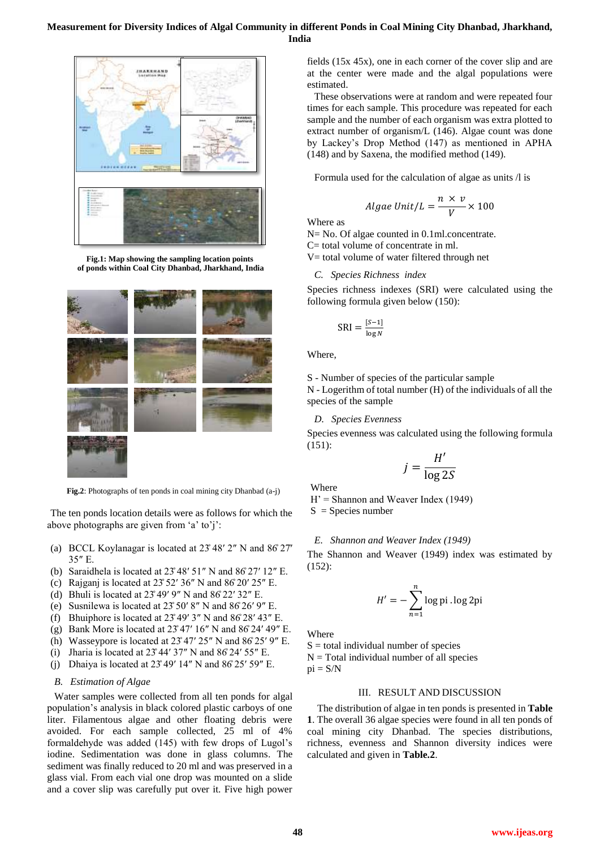

**Fig.1: Map showing the sampling location points of ponds within Coal City Dhanbad, Jharkhand, India**



 **Fig.2**: Photographs of ten ponds in coal mining city Dhanbad (a-j)

The ten ponds location details were as follows for which the above photographs are given from 'a' to'j':

- (a) BCCL Koylanagar is located at  $23^{\circ}48'$  2" N and  $86'27'$ 35″ E.
- (b) Saraidhela is located at 23̊ 48′ 51″ N and 86̊ 27′ 12″ E.
- (c) Rajganj is located at  $23^{\circ}52'36''$  N and  $86^{\circ}20'25''$  E.
- (d) Bhuli is located at  $23^{\circ}49'$  9" N and  $86'22'32"$  E.
- (e) Susnilewa is located at 23̊ 50′ 8″ N and 86̊ 26′ 9″ E.
- (f) Bhuiphore is located at  $23^{\circ}49'3''$  N and  $86^{\circ}28'43''$  E.
- (g) Bank More is located at 23̊ 47′ 16″ N and 86̊ 24′ 49″ E.
- (h) Wasseypore is located at  $23^{\circ}47'$   $25''$  N and  $86^{\circ}25'$  9" E.
- (i) Jharia is located at  $23^{\circ}44'37''$  N and  $86^{\circ}24'55''$  E.
- (j) Dhaiya is located at  $23^{\circ}49'$  14" N and  $86^{\circ}25'$  59" E.

## *B. Estimation of Algae*

Water samples were collected from all ten ponds for algal population's analysis in black colored plastic carboys of one liter. Filamentous algae and other floating debris were avoided. For each sample collected, 25 ml of 4% formaldehyde was added (145) with few drops of Lugol's iodine. Sedimentation was done in glass columns. The sediment was finally reduced to 20 ml and was preserved in a glass vial. From each vial one drop was mounted on a slide and a cover slip was carefully put over it. Five high power fields (15x 45x), one in each corner of the cover slip and are at the center were made and the algal populations were estimated.

These observations were at random and were repeated four times for each sample. This procedure was repeated for each sample and the number of each organism was extra plotted to extract number of organism/L (146). Algae count was done by Lackey's Drop Method (147) as mentioned in APHA (148) and by Saxena, the modified method (149).

Formula used for the calculation of algae as units /l is

$$
Algae\ Unit/L = \frac{n \times v}{V} \times 100
$$

Where as

N = No. Of algae counted in 0.1ml.concentrate. C= total volume of concentrate in ml.

V= total volume of water filtered through net

*C. Species Richness index*

Species richness indexes (SRI) were calculated using the following formula given below (150):

$$
SRI = \frac{[S-1]}{\log N}
$$

Where,

S - Number of species of the particular sample

N - Logerithm of total number (H) of the individuals of all the species of the sample

#### *D. Species Evenness*

Species evenness was calculated using the following formula (151):

$$
j = \frac{H'}{\log 2S}
$$

**Where** 

 $H'$  = Shannon and Weaver Index (1949)

 $S =$  Species number

## *E. Shannon and Weaver Index (1949)*

The Shannon and Weaver (1949) index was estimated by (152):

$$
H' = -\sum_{n=1}^{n} \log \text{pi} \cdot \log 2\text{pi}
$$

Where

 $S =$  total individual number of species

 $N = Total individual number of all species$ 

 $pi = S/N$ 

## III. RESULT AND DISCUSSION

The distribution of algae in ten ponds is presented in **Table 1**. The overall 36 algae species were found in all ten ponds of coal mining city Dhanbad. The species distributions, richness, evenness and Shannon diversity indices were calculated and given in **Table.2**.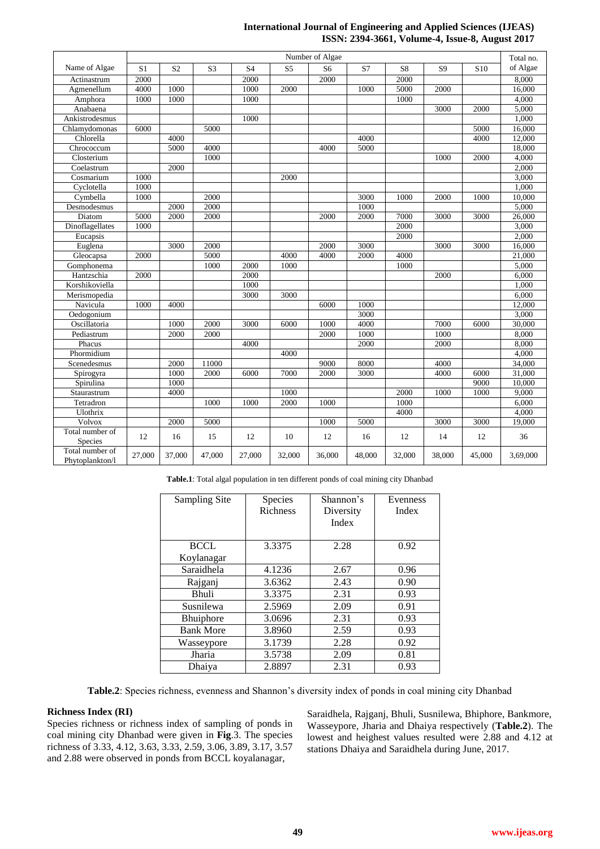# **International Journal of Engineering and Applied Sciences (IJEAS) ISSN: 2394-3661, Volume-4, Issue-8, August 2017**

|                                    | Number of Algae |                |                |                |                |                |        | Total no. |                |                 |          |
|------------------------------------|-----------------|----------------|----------------|----------------|----------------|----------------|--------|-----------|----------------|-----------------|----------|
| Name of Algae                      | S1              | S <sub>2</sub> | S <sub>3</sub> | S <sub>4</sub> | S <sub>5</sub> | S <sub>6</sub> | S7     | S8        | S <sub>9</sub> | S <sub>10</sub> | of Algae |
| Actinastrum                        | 2000            |                |                | 2000           |                | 2000           |        | 2000      |                |                 | 8,000    |
| Agmenellum                         | 4000            | 1000           |                | 1000           | 2000           |                | 1000   | 5000      | 2000           |                 | 16,000   |
| Amphora                            | 1000            | 1000           |                | 1000           |                |                |        | 1000      |                |                 | 4,000    |
| Anabaena                           |                 |                |                |                |                |                |        |           | 3000           | 2000            | 5,000    |
| Ankistrodesmus                     |                 |                |                | 1000           |                |                |        |           |                |                 | 1,000    |
| Chlamydomonas                      | 6000            |                | 5000           |                |                |                |        |           |                | 5000            | 16,000   |
| Chlorella                          |                 | 4000           |                |                |                |                | 4000   |           |                | 4000            | 12,000   |
| Chrococcum                         |                 | 5000           | 4000           |                |                | 4000           | 5000   |           |                |                 | 18,000   |
| Closterium                         |                 |                | 1000           |                |                |                |        |           | 1000           | 2000            | 4,000    |
| Coelastrum                         |                 | 2000           |                |                |                |                |        |           |                |                 | 2,000    |
| Cosmarium                          | 1000            |                |                |                | 2000           |                |        |           |                |                 | 3,000    |
| Cyclotella                         | 1000            |                |                |                |                |                |        |           |                |                 | 1,000    |
| Cymbella                           | 1000            |                | 2000           |                |                |                | 3000   | 1000      | 2000           | 1000            | 10,000   |
| Desmodesmus                        |                 | 2000           | 2000           |                |                |                | 1000   |           |                |                 | 5,000    |
| Diatom                             | 5000            | 2000           | 2000           |                |                | 2000           | 2000   | 7000      | 3000           | 3000            | 26,000   |
| Dinoflagellates                    | 1000            |                |                |                |                |                |        | 2000      |                |                 | 3,000    |
| Eucapsis                           |                 |                |                |                |                |                |        | 2000      |                |                 | 2,000    |
| Euglena                            |                 | 3000           | 2000           |                |                | 2000           | 3000   |           | 3000           | 3000            | 16,000   |
| Gleocapsa                          | 2000            |                | 5000           |                | 4000           | 4000           | 2000   | 4000      |                |                 | 21,000   |
| Gomphonema                         |                 |                | 1000           | 2000           | 1000           |                |        | 1000      |                |                 | 5,000    |
| Hantzschia                         | 2000            |                |                | 2000           |                |                |        |           | 2000           |                 | 6,000    |
| Korshikoviella                     |                 |                |                | 1000           |                |                |        |           |                |                 | 1,000    |
| Merismopedia                       |                 |                |                | 3000           | 3000           |                |        |           |                |                 | 6,000    |
| Navicula                           | 1000            | 4000           |                |                |                | 6000           | 1000   |           |                |                 | 12,000   |
| Oedogonium                         |                 |                |                |                |                |                | 3000   |           |                |                 | 3,000    |
| Oscillatoria                       |                 | 1000           | 2000           | 3000           | 6000           | 1000           | 4000   |           | 7000           | 6000            | 30,000   |
| Pediastrum                         |                 | 2000           | 2000           |                |                | 2000           | 1000   |           | 1000           |                 | 8,000    |
| Phacus                             |                 |                |                | 4000           |                |                | 2000   |           | 2000           |                 | 8,000    |
| Phormidium                         |                 |                |                |                | 4000           |                |        |           |                |                 | 4,000    |
| Scenedesmus                        |                 | 2000           | 11000          |                |                | 9000           | 8000   |           | 4000           |                 | 34,000   |
| Spirogyra                          |                 | 1000           | 2000           | 6000           | 7000           | 2000           | 3000   |           | 4000           | 6000            | 31,000   |
| Spirulina                          |                 | 1000           |                |                |                |                |        |           |                | 9000            | 10,000   |
| Staurastrum                        |                 | 4000           |                |                | 1000           |                |        | 2000      | 1000           | 1000            | 9,000    |
| Tetradron                          |                 |                | 1000           | 1000           | 2000           | 1000           |        | 1000      |                |                 | 6,000    |
| Ulothrix                           |                 |                |                |                |                |                |        | 4000      |                |                 | 4,000    |
| <b>Volvox</b>                      |                 | 2000           | 5000           |                |                | 1000           | 5000   |           | 3000           | 3000            | 19,000   |
| Total number of                    | 12              | 16             | 15             | 12             | 10             | 12             | 16     | 12        | 14             | 12              | 36       |
| Species                            |                 |                |                |                |                |                |        |           |                |                 |          |
| Total number of<br>Phytoplankton/l | 27,000          | 37,000         | 47,000         | 27,000         | 32,000         | 36,000         | 48,000 | 32,000    | 38,000         | 45,000          | 3,69,000 |

**Table.1**: Total algal population in ten different ponds of coal mining city Dhanbad

| Sampling Site    | <b>Species</b>  | Shannon's | Evenness |  |  |
|------------------|-----------------|-----------|----------|--|--|
|                  | <b>Richness</b> | Diversity | Index    |  |  |
|                  |                 | Index     |          |  |  |
|                  |                 |           |          |  |  |
| <b>BCCL</b>      | 3.3375          | 2.28      | 0.92     |  |  |
| Koylanagar       |                 |           |          |  |  |
| Saraidhela       | 4.1236          | 2.67      | 0.96     |  |  |
| Rajganj          | 3.6362          | 2.43      | 0.90     |  |  |
| <b>Bhuli</b>     | 3.3375          | 2.31      | 0.93     |  |  |
| Susnilewa        | 2.5969          | 2.09      | 0.91     |  |  |
| <b>Bhuiphore</b> | 3.0696          | 2.31      | 0.93     |  |  |
| <b>Bank More</b> | 3.8960          | 2.59      | 0.93     |  |  |
| Wasseypore       | 3.1739          | 2.28      | 0.92     |  |  |
| Jharia           | 3.5738          | 2.09      | 0.81     |  |  |
| Dhaiya           | 2.8897          | 2.31      | 0.93     |  |  |

**Table.2**: Species richness, evenness and Shannon's diversity index of ponds in coal mining city Dhanbad

# **Richness Index (RI)**

Species richness or richness index of sampling of ponds in coal mining city Dhanbad were given in **Fig**.3. The species richness of 3.33, 4.12, 3.63, 3.33, 2.59, 3.06, 3.89, 3.17, 3.57 and 2.88 were observed in ponds from BCCL koyalanagar,

Saraidhela, Rajganj, Bhuli, Susnilewa, Bhiphore, Bankmore, Wasseypore, Jharia and Dhaiya respectively (**Table.2**). The lowest and heighest values resulted were 2.88 and 4.12 at stations Dhaiya and Saraidhela during June, 2017.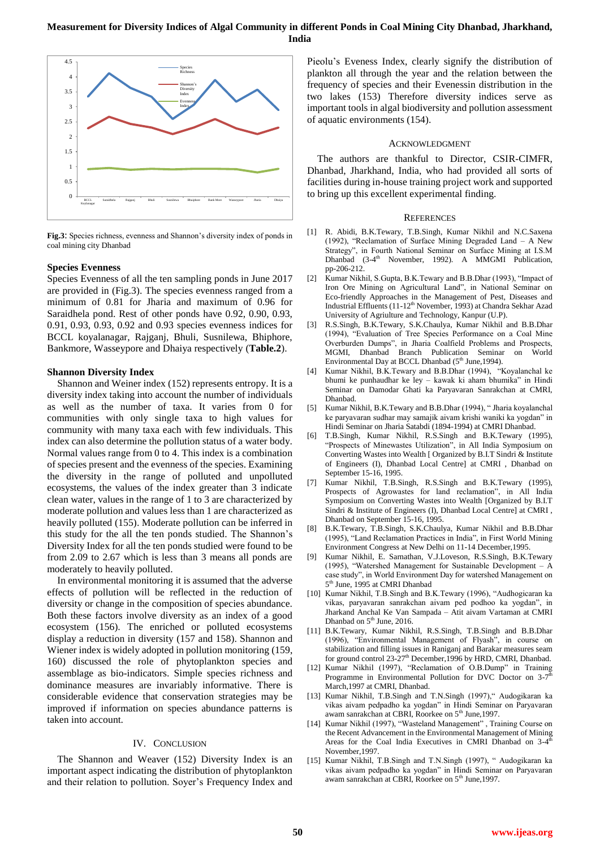

**Fig.3**: Species richness, evenness and Shannon's diversity index of ponds in coal mining city Dhanbad

#### **Species Evenness**

Species Evenness of all the ten sampling ponds in June 2017 are provided in (Fig.3). The species evenness ranged from a minimum of 0.81 for Jharia and maximum of 0.96 for Saraidhela pond. Rest of other ponds have 0.92, 0.90, 0.93, 0.91, 0.93, 0.93, 0.92 and 0.93 species evenness indices for BCCL koyalanagar, Rajganj, Bhuli, Susnilewa, Bhiphore, Bankmore, Wasseypore and Dhaiya respectively (**Table.2**).

#### **Shannon Diversity Index**

Shannon and Weiner index (152) represents entropy. It is a diversity index taking into account the number of individuals as well as the number of taxa. It varies from 0 for communities with only single taxa to high values for community with many taxa each with few individuals. This index can also determine the pollution status of a water body. Normal values range from 0 to 4. This index is a combination of species present and the evenness of the species. Examining the diversity in the range of polluted and unpolluted ecosystems, the values of the index greater than 3 indicate clean water, values in the range of 1 to 3 are characterized by moderate pollution and values less than 1 are characterized as heavily polluted (155). Moderate pollution can be inferred in this study for the all the ten ponds studied. The Shannon's Diversity Index for all the ten ponds studied were found to be from 2.09 to 2.67 which is less than 3 means all ponds are moderately to heavily polluted.

In environmental monitoring it is assumed that the adverse effects of pollution will be reflected in the reduction of diversity or change in the composition of species abundance. Both these factors involve diversity as an index of a good ecosystem (156). The enriched or polluted ecosystems display a reduction in diversity (157 and 158). Shannon and Wiener index is widely adopted in pollution monitoring (159, 160) discussed the role of phytoplankton species and assemblage as bio-indicators. Simple species richness and dominance measures are invariably informative. There is considerable evidence that conservation strategies may be improved if information on species abundance patterns is taken into account.

## IV. CONCLUSION

The Shannon and Weaver (152) Diversity Index is an important aspect indicating the distribution of phytoplankton and their relation to pollution. Soyer's Frequency Index and Pieolu's Eveness Index, clearly signify the distribution of plankton all through the year and the relation between the frequency of species and their Evenessin distribution in the two lakes (153) Therefore diversity indices serve as important tools in algal biodiversity and pollution assessment of aquatic environments (154).

#### ACKNOWLEDGMENT

The authors are thankful to Director, CSIR-CIMFR, Dhanbad, Jharkhand, India, who had provided all sorts of facilities during in-house training project work and supported to bring up this excellent experimental finding.

#### **REFERENCES**

- [1] R. Abidi, B.K.Tewary, T.B.Singh, Kumar Nikhil and N.C.Saxena (1992), "Reclamation of Surface Mining Degraded Land – A New Strategy", in Fourth National Seminar on Surface Mining at I.S.M Dhanbad (3-4<sup>th</sup>) November, 1992). A MMGMI Publication, pp-206-212.
- [2] Kumar Nikhil, S.Gupta, B.K.Tewary and B.B.Dhar (1993), "Impact of Iron Ore Mining on Agricultural Land", in National Seminar on Eco-friendly Approaches in the Management of Pest, Diseases and Industrial Effluents (11-12<sup>th</sup> November, 1993) at Chandra Sekhar Azad University of Agriulture and Technology, Kanpur (U.P).
- [3] R.S.Singh, B.K.Tewary, S.K.Chaulya, Kumar Nikhil and B.B.Dhar (1994), "Evaluation of Tree Species Performance on a Coal Mine Overburden Dumps", in Jharia Coalfield Problems and Prospects, MGMI, Dhanbad Branch Publication Seminar on World Environmental Day at BCCL Dhanbad (5<sup>th</sup> June, 1994).
- [4] Kumar Nikhil, B.K.Tewary and B.B.Dhar (1994), "Koyalanchal ke bhumi ke punhaudhar ke ley – kawak ki aham bhumika" in Hindi Seminar on Damodar Ghati ka Paryavaran Sanrakchan at CMRI, Dhanbad.
- [5] Kumar Nikhil, B.K.Tewary and B.B.Dhar (1994), " Jharia koyalanchal ke paryavaran sudhar may samajik aivam krishi waniki ka yogdan" in Hindi Seminar on Jharia Satabdi (1894-1994) at CMRI Dhanbad.
- [6] T.B.Singh, Kumar Nikhil, R.S.Singh and B.K.Tewary (1995), "Prospects of Minewastes Utilization", in All India Symposium on Converting Wastes into Wealth [ Organized by B.I.T Sindri & Institute of Engineers (I), Dhanbad Local Centre] at CMRI , Dhanbad on September 15-16, 1995.
- [7] Kumar Nikhil, T.B.Singh, R.S.Singh and B.K.Tewary (1995), Prospects of Agrowastes for land reclamation", in All India Symposium on Converting Wastes into Wealth [Organized by B.I.T Sindri & Institute of Engineers (I), Dhanbad Local Centre] at CMRI , Dhanbad on September 15-16, 1995.
- [8] B.K.Tewary, T.B.Singh, S.K.Chaulya, Kumar Nikhil and B.B.Dhar (1995), "Land Reclamation Practices in India", in First World Mining Environment Congress at New Delhi on 11-14 December,1995.
- [9] Kumar Nikhil, E. Sarnathan, V.J.Loveson, R.S.Singh, B.K.Tewary (1995), "Watershed Management for Sustainable Development – A case study", in World Environment Day for watershed Management on 5<sup>th</sup> June, 1995 at CMRI Dhanbad
- [10] Kumar Nikhil, T.B.Singh and B.K.Tewary (1996), "Audhogicaran ka vikas, paryavaran sanrakchan aivam ped podhoo ka yogdan", in Jharkand Anchal Ke Van Sampada – Atit aivam Vartaman at CMRI Dhanbad on 5<sup>th</sup> June, 2016.
- [11] B.K.Tewary, Kumar Nikhil, R.S.Singh, T.B.Singh and B.B.Dhar (1996), "Environmental Management of Flyash", in course on stabilization and filling issues in Raniganj and Barakar measures seam for ground control 23-27<sup>th</sup> December, 1996 by HRD, CMRI, Dhanbad.
- [12] Kumar Nikhil (1997), "Reclamation of O.B.Dump" in Training Programme in Environmental Pollution for DVC Doctor on  $3-7^{\overline{h}}$ March,1997 at CMRI, Dhanbad.
- [13] Kumar Nikhil, T.B.Singh and T.N.Singh (1997)," Audogikaran ka vikas aivam pedpadho ka yogdan" in Hindi Seminar on Paryavaran awam sanrakchan at CBRI, Roorkee on 5<sup>th</sup> June, 1997.
- [14] Kumar Nikhil (1997), "Wasteland Management", Training Course on the Recent Advancement in the Environmental Management of Mining Areas for the Coal India Executives in CMRI Dhanbad on  $3-4^{\overline{u}}$ November,1997.
- [15] Kumar Nikhil, T.B.Singh and T.N.Singh (1997), " Audogikaran ka vikas aivam pedpadho ka yogdan" in Hindi Seminar on Paryavaran awam sanrakchan at CBRI, Roorkee on 5<sup>th</sup> June,1997.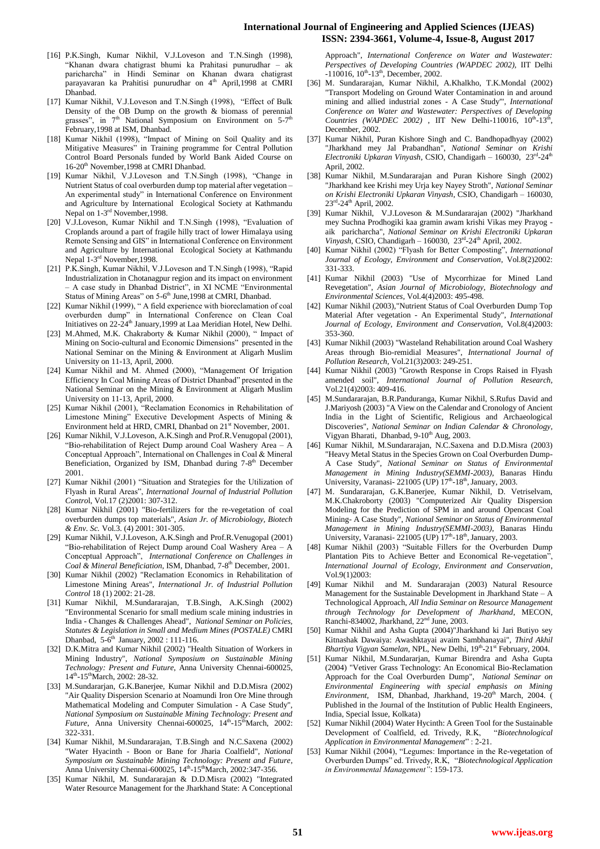## **International Journal of Engineering and Applied Sciences (IJEAS) ISSN: 2394-3661, Volume-4, Issue-8, August 2017**

- [16] P.K.Singh, Kumar Nikhil, V.J.Loveson and T.N.Singh (1998), "Khanan dwara chatigrast bhumi ka Prahitasi punurudhar – ak paricharcha" in Hindi Seminar on Khanan dwara chatigrast parayavaran ka Prahitisi punurudhar on 4<sup>th</sup> April,1998 at CMRI Dhanbad.
- [17] Kumar Nikhil, V.J.Loveson and T.N.Singh (1998), "Effect of Bulk Density of the OB Dump on the growth & biomass of perennial grasses", in  $7<sup>th</sup>$  National Symposium on Environment on  $5-7<sup>th</sup>$ February,1998 at ISM, Dhanbad.
- [18] Kumar Nikhil (1998), "Impact of Mining on Soil Quality and its Mitigative Measures" in Training programme for Central Pollution Control Board Personals funded by World Bank Aided Course on 16-20<sup>th</sup> November, 1998 at CMRI Dhanbad.
- [19] Kumar Nikhil, V.J.Loveson and T.N.Singh (1998), "Change in Nutrient Status of coal overburden dump top material after vegetation – An experimental study" in International Conference on Environment and Agriculture by International Ecological Society at Kathmandu Nepal on 1-3<sup>rd</sup> November, 1998.
- [20] V.J.Loveson, Kumar Nikhil and T.N.Singh (1998), "Evaluation of Croplands around a part of fragile hilly tract of lower Himalaya using Remote Sensing and GIS" in International Conference on Environment and Agriculture by International Ecological Society at Kathmandu Nepal 1-3<sup>rd</sup> November, 1998.
- [21] P.K.Singh, Kumar Nikhil, V.J.Loveson and T.N.Singh (1998), "Rapid Industrialization in Chotanagpur region and its impact on environment – A case study in Dhanbad District", in XI NCME "Environmental Status of Mining Areas" on 5-6<sup>th</sup> June, 1998 at CMRI, Dhanbad.
- [22] Kumar Nikhil (1999), " A field experience with bioreclamation of coal in International Conference on Clean Coal Initiatives on 22-24<sup>th</sup> January, 1999 at Laa Meridian Hotel, New Delhi.
- [23] M.Ahmed, M.K. Chakraborty & Kumar Nikhil (2000), " Impact of Mining on Socio-cultural and Economic Dimensions" presented in the National Seminar on the Mining & Environment at Aligarh Muslim University on 11-13, April, 2000.
- [24] Kumar Nikhil and M. Ahmed (2000), "Management Of Irrigation Efficiency In Coal Mining Areas of District Dhanbad" presented in the National Seminar on the Mining & Environment at Aligarh Muslim University on 11-13, April, 2000.
- [25] Kumar Nikhil (2001), "Reclamation Economics in Rehabilitation of Limestone Mining" Executive Development Aspects of Mining & Environment held at HRD, CMRI, Dhanbad on  $21<sup>st</sup>$  November, 2001.
- [26] Kumar Nikhil, V.J.Loveson, A.K.Singh and Prof.R.Venugopal (2001), "Bio-rehabilitation of Reject Dump around Coal Washery Area – A Conceptual Approach", International on Challenges in Coal & Mineral Beneficiation, Organized by ISM, Dhanbad during 7-8<sup>th</sup> December 2001.
- [27] Kumar Nikhil (2001) "Situation and Strategies for the Utilization of Flyash in Rural Areas", *International Journal of Industrial Pollution Contro*l, Vol.17 (2)2001: 307-312.
- [28] Kumar Nikhil (2001) "Bio-fertilizers for the re-vegetation of coal overburden dumps top materials", *Asian Jr. of Microbiology, Biotech & Env. Sc.* Vol.3. (4) 2001: 301-305.
- [29] Kumar Nikhil, V.J.Loveson, A.K.Singh and Prof.R.Venugopal (2001) "Bio-rehabilitation of Reject Dump around Coal Washery Area – A Conceptual Approach", *International Conference on Challenges in*  Coal & Mineral Beneficiation, ISM, Dhanbad, 7-8<sup>th</sup> December, 2001.
- [30] Kumar Nikhil (2002) "Reclamation Economics in Rehabilitation of Limestone Mining Areas", *International Jr. of Industrial Pollution Control* 18 (1) 2002: 21-28.
- [31] Kumar Nikhil, M.Sundararajan, T.B.Singh, A.K.Singh (2002) "Environmental Scenario for small medium scale mining industries in India - Changes & Challenges Ahead", *National Seminar on Policies, Statutes & Legislation in Small and Medium Mines (POSTALE)* CMRI Dhanbad, 5-6<sup>th</sup> January, 2002 : 111-116.
- [32] D.K.Mitra and Kumar Nikhil (2002) "Health Situation of Workers in Mining Industry", *National Symposium on Sustainable Mining Technology: Present and Future*, Anna University Chennai-600025, 14<sup>th</sup>-15<sup>th</sup>March, 2002: 28-32.
- [33] M.Sundararjan, G.K.Banerjee, Kumar Nikhil and D.D.Misra (2002) "Air Quality Dispersion Scenario at Noamundi Iron Ore Mine through Mathematical Modeling and Computer Simulation - A Case Study", *National Symposium on Sustainable Mining Technology: Present and*  Future, Anna University Chennai-600025, 14<sup>th</sup>-15<sup>th</sup>March, 2002: 322-331.
- [34] Kumar Nikhil, M.Sundararajan, T.B.Singh and N.C.Saxena (2002) "Water Hyacinth - Boon or Bane for Jharia Coalfield", *National Symposium on Sustainable Mining Technology: Present and Future*, Anna University Chennai-600025, 14<sup>th</sup>-15<sup>th</sup>March, 2002:347-356.
- [35] Kumar Nikhil, M. Sundararajan & D.D.Misra (2002) "Integrated Water Resource Management for the Jharkhand State: A Conceptional

Approach", *International Conference on Water and Wastewater: Perspectives of Developing Countries (WAPDEC 2002),* IIT Delhi  $-110016$ ,  $10^{th}$  $-13^{th}$ , December, 2002.

- [36] M. Sundararajan, Kumar Nikhil, A.Khalkho, T.K.Mondal (2002) "Transport Modeling on Ground Water Contamination in and around mining and allied industrial zones - A Case Study"', *International Conference on Water and Wastewater: Perspectives of Developing Countries (WAPDEC 2002)*, IIT New Delhi-110016,  $10^{th}$ -13<sup>th</sup>, December, 2002.
- [37] Kumar Nikhil, Puran Kishore Singh and C. Bandhopadhyay (2002) "Jharkhand mey Jal Prabandhan", *National Seminar on Krishi*  Electroniki Upkaran Vinyash, CSIO, Chandigarh - 160030, 23<sup>rd</sup>-24<sup>th</sup> April, 2002.
- [38] Kumar Nikhil, M.Sundararajan and Puran Kishore Singh (2002) "Jharkhand kee Krishi mey Urja key Nayey Stroth", *National Seminar on Krishi Electroniki Upkaran Vinyash*, CSIO, Chandigarh – 160030, 23<sup>rd</sup>-24<sup>th</sup> April, 2002.
- [39] Kumar Nikhil, V.J.Loveson & M.Sundararajan (2002) "Jharkhand mey Suchna Prodhogiki kaa gramin awam krishi Vikas mey Prayog aik paricharcha", *National Seminar on Krishi Electroniki Upkaran*  Vinyash, CSIO, Chandigarh - 160030, 23<sup>rd</sup>-24<sup>th</sup> April, 2002.
- [40] Kumar Nikhil (2002) "Flyash for Better Composting", *International Journal of Ecology, Environment and Conservation*, Vol.8(2)2002: 331-333.
- [41] Kumar Nikhil (2003) "Use of Mycorrhizae for Mined Land Revegetation", *Asian Journal of Microbiology, Biotechnology and Environmental Sciences,* Vol.4(4)2003: 495-498.
- [42] Kumar Nikhil (2003),"Nutrient Status of Coal Overburden Dump Top Material After vegetation - An Experimental Study", *International Journal of Ecology, Environment and Conservation,* Vol.8(4)2003: 353-360.
- [43] Kumar Nikhil (2003) "Wasteland Rehabilitation around Coal Washery Areas through Bio-remidial Measures", *International Journal of Pollution Research,* Vol.21(3)2003: 249-251.
- [44] Kumar Nikhil (2003) "Growth Response in Crops Raised in Flyash amended soil", *International Journal of Pollution Research,* Vol.21(4)2003: 409-416.
- [45] M.Sundararajan, B.R.Panduranga, Kumar Nikhil, S.Rufus David and J.Mariyosh (2003) "A View on the Calendar and Cronology of Ancient India in the Light of Scientific, Religious and Archaeological Discoveries", *National Seminar on Indian Calendar & Chronology*, Vigyan Bharati, Dhanbad, 9-10<sup>th</sup> Aug, 2003.
- [46] Kumar Nikhil, M.Sundararajan, N.C.Saxena and D.D.Misra (2003) "Heavy Metal Status in the Species Grown on Coal Overburden Dump-A Case Study", *National Seminar on Status of Environmental Management in Mining Industry(SEMMI-2003)*, Banaras Hindu University, Varanasi- 221005 (UP)  $17<sup>th</sup>$ -18<sup>th</sup>, January, 2003.
- [47] M. Sundararajan, G.K.Banerjee, Kumar Nikhil, D. Vetriselvam, M.K.Chakroborty (2003) "Computerized Air Quality Dispersion Modeling for the Prediction of SPM in and around Opencast Coal Mining- A Case Study", *National Seminar on Status of Environmental Management in Mining Industry(SEMMI-2003)*, Banaras Hindu University, Varanasi- 221005 (UP) 17<sup>th</sup>-18<sup>th</sup>, January, 2003.
- [48] Kumar Nikhil (2003) "Suitable Fillers for the Overburden Dump Plantation Pits to Achieve Better and Economical Re-vegetation", *International Journal of Ecology, Environment and Conservation*, Vol.9(1)2003:
- [49] Kumar Nikhil and M. Sundararajan (2003) Natural Resource Management for the Sustainable Development in Jharkhand State – A Technological Approach, *All India Seminar on Resource Management through Technology for Development of Jharkhand*, MECON, Ranchi-834002, Jharkhand, 22<sup>nd</sup> June, 2003.
- [50] Kumar Nikhil and Asha Gupta (2004)"Jharkhand ki Jari Butiyo sey Kitnashak Dawaiya: Awashktayai avaim Sambhanayai", *Third Akhil*  Bhartiya Vigyan Samelan, NPL, New Delhi, 19<sup>th</sup>-21<sup>st</sup> February, 2004.
- [51] Kumar Nikhil, M.Sundararjan, Kumar Birendra and Asha Gupta (2004) "Vetiver Grass Technology: An Economical Bio-Reclamation Approach for the Coal Overburden Dump", *National Seminar on Environmental Engineering with special emphasis on Mining Environment*, ISM, Dhanbad, Jharkhand, 19-20<sup>th</sup> March, 2004. ( Published in the Journal of the Institution of Public Health Engineers, India, Special Issue, Kolkata)
- [52] Kumar Nikhil (2004) Water Hycinth: A Green Tool for the Sustainable Development of Coalfield, ed. Trivedy, R.K, "*Biotechnological Application in Environmental Management*" : 2-21.
- [53] Kumar Nikhil (2004), "Legumes: Importance in the Re-vegetation of Overburden Dumps" ed. Trivedy, R.K, "*Biotechnological Application in Environmental Management"*: 159-173.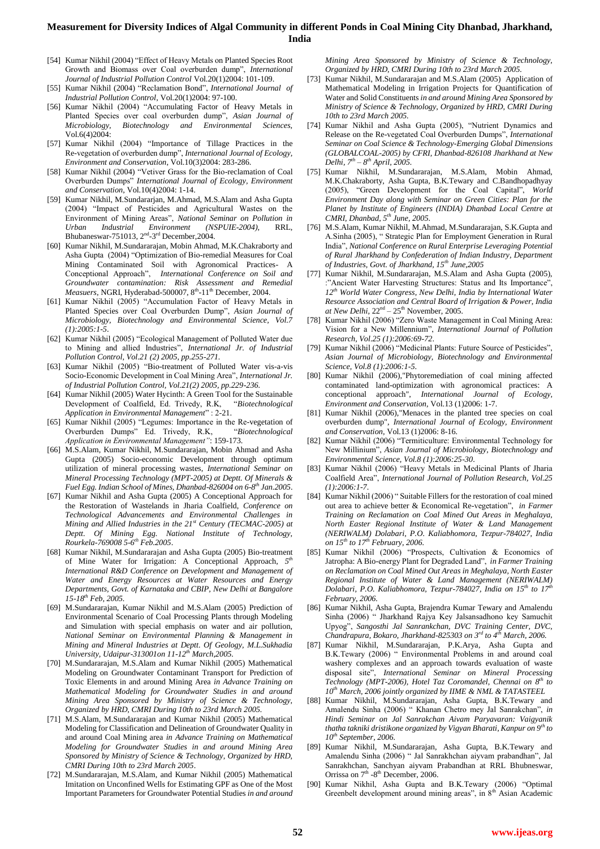- [54] Kumar Nikhil (2004) "Effect of Heavy Metals on Planted Species Root Growth and Biomass over Coal overburden dump", *International Journal of Industrial Pollution Control* Vol.20(1)2004: 101-109.
- [55] Kumar Nikhil (2004) "Reclamation Bond", *International Journal of Industrial Pollution Control*, Vol.20(1)2004: 97-100.
- [56] Kumar Nikhil (2004) "Accumulating Factor of Heavy Metals in Planted Species over coal overburden dump", *Asian Journal of Microbiology, Biotechnology and Environmental Sciences,*  Vol.6(4)2004:
- [57] Kumar Nikhil (2004) "Importance of Tillage Practices in the Re-vegetation of overburden dump", *International Journal of Ecology, Environment and Conservation*, Vol.10(3)2004: 283-286.
- [58] Kumar Nikhil (2004) "Vetiver Grass for the Bio-reclamation of Coal Overburden Dumps" *International Journal of Ecology, Environment and Conservation*, Vol.10(4)2004: 1-14.
- [59] Kumar Nikhil, M.Sundararjan, M.Ahmad, M.S.Alam and Asha Gupta (2004) "Impact of Pesticides and Agricultural Wastes on the Environment of Mining Areas", *National Seminar on Pollution in Urban Industrial Environment (NSPUIE-2004),* RRL, Bhubaneswar-751013, 2<sup>nd</sup>-3<sup>rd</sup> December, 2004.
- [60] Kumar Nikhil, M.Sundararajan, Mobin Ahmad, M.K.Chakraborty and Asha Gupta (2004) "Optimization of Bio-remedial Measures for Coal Mining Contaminated Soil with Agronomical Practices- A Conceptional Approach", *International Conference on Soil and Groundwater contamination: Risk Assessment and Remedial Measuers*, NGRI, Hyderabad-500007, 8<sup>th</sup>-11<sup>th</sup> December, 2004.
- [61] Kumar Nikhil (2005) "Accumulation Factor of Heavy Metals in Planted Species over Coal Overburden Dump", *Asian Journal of Microbiology, Biotechnology and Environmental Science, Vol.7 (1):2005:1-5*.
- [62] Kumar Nikhil (2005) "Ecological Management of Polluted Water due to Mining and allied Industries", *International Jr. of Industrial Pollution Control, Vol.21 (2) 2005, pp.255-271.*
- [63] Kumar Nikhil (2005) "Bio-treatment of Polluted Water vis-a-vis Socio-Economic Development in Coal Mining Area", *International Jr. of Industrial Pollution Control, Vol.21(2) 2005, pp.229-236.*
- [64] Kumar Nikhil (2005) Water Hycinth: A Green Tool for the Sustainable Development of Coalfield, Ed. Trivedy, R.K, "*Biotechnological Application in Environmental Management*" : 2-21.
- [65] Kumar Nikhil (2005) "Legumes: Importance in the Re-vegetation of Overburden Dumps" Ed. Trivedy, R.K, "*Biotechnological Application in Environmental Management"*: 159-173.
- [66] M.S.Alam, Kumar Nikhil, M.Sundararajan, Mobin Ahmad and Asha Gupta (2005) Socio-economic Development through optimum utilization of mineral processing wastes, *International Seminar on Mineral Processing Technology (MPT-2005) at Deptt. Of Minerals & Fuel Egg. Indian School of Mines, Dhanbad-826004 on 6-8 th Jan.2005*.
- [67] Kumar Nikhil and Asha Gupta (2005) A Conceptional Approach for the Restoration of Wastelands in Jharia Coalfield, *Conference on Technological Advancements and Environmental Challenges in Mining and Allied Industries in the 21st Century (TECMAC-2005) at Deptt. Of Mining Egg. National Institute of Technology, Rourkela-769008 5-6 th Feb.2005*.
- [68] Kumar Nikhil, M.Sundararajan and Asha Gupta (2005) Bio-treatment of Mine Water for Irrigation: A Conceptional Approach, *5 th International R&D Conference on Development and Management of Water and Energy Resources at Water Resources and Energy Departments, Govt. of Karnataka and CBIP, New Delhi at Bangalore 15-18th Feb, 2005.*
- [69] M.Sundararajan, Kumar Nikhil and M.S.Alam (2005) Prediction of Environmental Scenario of Coal Processing Plants through Modeling and Simulation with special emphasis on water and air pollution, *National Seminar on Environmental Planning & Management in Mining and Mineral Industries at Deptt. Of Geology, M.L.Sukhadia University, Udaipur-313001on 11-12th March,2005.*
- [70] M.Sundararajan, M.S.Alam and Kumar Nikhil (2005) Mathematical Modeling on Groundwater Contaminant Transport for Prediction of Toxic Elements in and around Mining Area *in Advance Training on Mathematical Modeling for Groundwater Studies in and around Mining Area Sponsored by Ministry of Science & Technology, Organized by HRD, CMRI During 10th to 23rd March 2005.*
- [71] M.S.Alam, M.Sundararajan and Kumar Nikhil (2005) Mathematical Modeling for Classification and Delineation of Groundwater Quality in and around Coal Mining area *in Advance Training on Mathematical Modeling for Groundwater Studies in and around Mining Area Sponsored by Ministry of Science & Technology, Organized by HRD, CMRI During 10th to 23rd March 2005*.
- [72] M.Sundararajan, M.S.Alam, and Kumar Nikhil (2005) Mathematical Imitation on Unconfined Wells for Estimating GPF as One of the Most Important Parameters for Groundwater Potential Studies *in and around*

*Mining Area Sponsored by Ministry of Science & Technology, Organized by HRD, CMRI During 10th to 23rd March 2005.*

- [73] Kumar Nikhil, M.Sundararajan and M.S.Alam (2005) Application of Mathematical Modeling in Irrigation Projects for Quantification of Water and Solid Constituents *in and around Mining Area Sponsored by Ministry of Science & Technology, Organized by HRD, CMRI During 10th to 23rd March 2005.*
- [74] Kumar Nikhil and Asha Gupta (2005), "Nutrient Dynamics and Release on the Re-vegetated Coal Overburden Dumps", *International Seminar on Coal Science & Technology-Emerging Global Dimensions (GLOBALCOAL-2005) by CFRI, Dhanbad-826108 Jharkhand at New Delhi, 7th – 8 th April, 2005.*
- [75] Kumar Nikhil, M.Sundararajan, M.S.Alam, Mobin Ahmad, M.K.Chakraborty, Asha Gupta, B.K.Tewary and C.Bandhopadhyay (2005), "Green Development for the Coal Capital", *World Environment Day along with Seminar on Green Cities: Plan for the Planet by Institute of Engineers (INDIA) Dhanbad Local Centre at CMRI, Dhanbad, 5th June, 2005*.
- [76] M.S.Alam, Kumar Nikhil, M.Ahmad, M.Sundararajan, S.K.Gupta and A.Sinha (2005), " Strategic Plan for Employment Generation in Rural India", *National Conference on Rural Enterprise Leveraging Potential of Rural Jharkhand by Confederation of Indian Industry, Department of Industries, Govt. of Jharkhand, 15th June,2005*
- [77] Kumar Nikhil, M.Sundararajan, M.S.Alam and Asha Gupta (2005), :"Ancient Water Harvesting Structures: Status and Its Importance", *12th World Water Congress, New Delhi, India by International Water Resource Association and Central Board of Irrigation & Power, India at New Delhi,*  $22<sup>nd</sup> - 25<sup>th</sup>$  November, 2005.
- [78] Kumar Nikhil (2006) "Zero Waste Management in Coal Mining Area: Vision for a New Millennium", *International Journal of Pollution Research, Vol.25 (1):2006:69-72*.
- [79] Kumar Nikhil (2006) "Medicinal Plants: Future Source of Pesticides", *Asian Journal of Microbiology, Biotechnology and Environmental Science, Vol.8 (1):2006:1-5*.
- [80] Kumar Nikhil (2006),"Phytoremediation of coal mining affected contaminated land-optimization with agronomical practices: A conceptional approach", *International Journal of Ecology, Environment and Conservation,* Vol.13 (1)2006: 1-7.
- [81] Kumar Nikhil (2006),"Menaces in the planted tree species on coal overburden dump", *International Journal of Ecology, Environment and Conservation,* Vol.13 (1)2006: 8-16.
- [82] Kumar Nikhil (2006) "Termiticulture: Environmental Technology for New Millinium", *Asian Journal of Microbiology, Biotechnology and Environmental Science, Vol.8 (1):2006:25-30*.
- [83] Kumar Nikhil (2006) "Heavy Metals in Medicinal Plants of Jharia Coalfield Area", *International Journal of Pollution Research, Vol.25 (1):2006:1-7*.
- [84] Kumar Nikhil (2006) " Suitable Fillers for the restoration of coal mined out area to achieve better & Economical Re-vegetation", *in Farmer Training on Reclamation on Coal Mined Out Areas in Meghalaya, North Easter Regional Institute of Water & Land Management (NERIWALM) Dolabari, P.O. Kaliabhomora, Tezpur-784027, India on 15th to 17th February, 2006.*
- [85] Kumar Nikhil (2006) "Prospects, Cultivation & Economics of Jatropha: A Bio-energy Plant for Degraded Land", *in Farmer Training on Reclamation on Coal Mined Out Areas in Meghalaya, North Easter Regional Institute of Water & Land Management (NERIWALM) Dolabari, P.O. Kaliabhomora, Tezpur-784027, India on 15th to 17th February, 2006.*
- [86] Kumar Nikhil, Asha Gupta, Brajendra Kumar Tewary and Amalendu Sinha (2006) " Jharkhand Rajya Key Jalsansadhono key Samuchit Upyog", *Sangosthi Jal Sanrankchan, DVC Training Center, DVC, Chandrapura, Bokaro, Jharkhand-825303 on 3rd to 4th March, 2006.*
- [87] Kumar Nikhil, M.Sundararajan, P.K.Arya, Asha Gupta and B.K.Tewary (2006) " Environmental Problems in and around coal washery complexes and an approach towards evaluation of waste disposal site", *International Seminar on Mineral Processing Technology (MPT-2006), Hotel Taz Coromandel, Chennai on 8 th to 10th March, 2006 jointly organized by IIME & NML & TATASTEEL*
- [88] Kumar Nikhil, M.Sundararajan, Asha Gupta, B.K.Tewary and Amalendu Sinha (2006) " Khanan Chetro mey Jal Sanrakchan", *in Hindi Seminar on Jal Sanrakchan Aivam Paryavaran: Vaigyanik thatha takniki dristikone organized by Vigyan Bharati, Kanpur on 9th to 10th September, 2006.*
- [89] Kumar Nikhil, M.Sundararajan, Asha Gupta, B.K.Tewary and Amalendu Sinha (2006) " Jal Sanrakhchan aiyvam prabandhan", Jal Sanrakhchan, Sanchyan aiyvam Prabandhan at RRL Bhubneswar, Orrissa on  $7<sup>th</sup>$  -8<sup>th</sup> December, 2006.
- [90] Kumar Nikhil, Asha Gupta and B.K.Tewary (2006) "Optimal Greenbelt development around mining areas", in 8<sup>th</sup> Asian Academic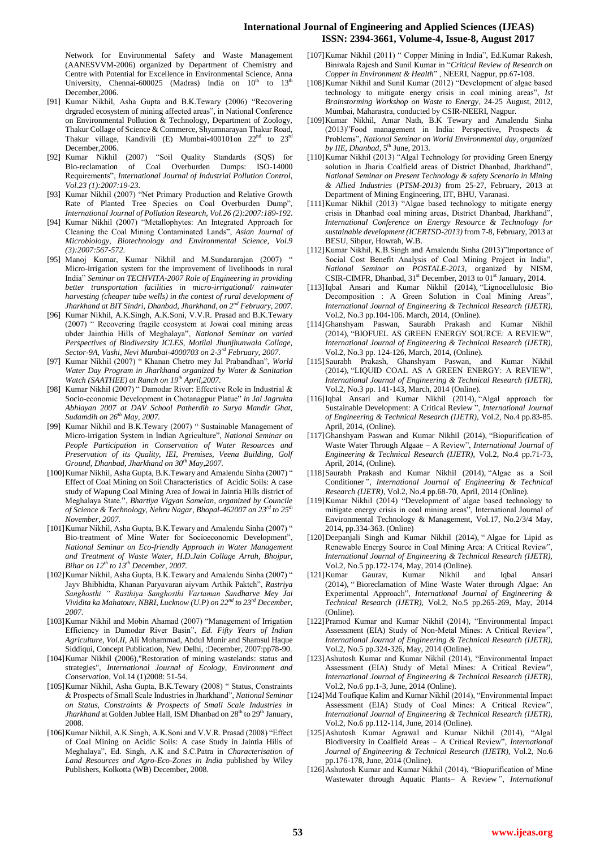## **International Journal of Engineering and Applied Sciences (IJEAS) ISSN: 2394-3661, Volume-4, Issue-8, August 2017**

Network for Environmental Safety and Waste Management (AANESVVM-2006) organized by Department of Chemistry and Centre with Potential for Excellence in Environmental Science, Anna University, Chennai-600025 (Madras) India on  $10^{\text{th}}$  to  $13^{\text{th}}$ December,2006.

- [91] Kumar Nikhil, Asha Gupta and B.K.Tewary (2006) "Recovering drgraded ecosystem of mining affected areas", in National Conference on Environmental Pollution & Technology, Department of Zoology, Thakur Collage of Science & Commerce, Shyamnarayan Thakur Road, Thakur village, Kandivili (E) Mumbai-400101on 22<sup>nd</sup> to 23<sup>rd</sup> December,2006.
- [92] Kumar Nikhil (2007) "Soil Quality Standards (SQS) for Bio-reclamation of Coal Overburden Dumps: ISO-14000 Requirements", *International Journal of Industrial Pollution Control, Vol.23 (1):2007:19-23*.
- [93] Kumar Nikhil (2007) "Net Primary Production and Relative Growth Rate of Planted Tree Species on Coal Overburden Dump", *International Journal of Pollution Research, Vol.26 (2):2007:189-192*.
- [94] Kumar Nikhil (2007) "Metallophytes: An Integrated Approach for Cleaning the Coal Mining Contaminated Lands", *Asian Journal of Microbiology, Biotechnology and Environmental Science, Vol.9 (3):2007:567-572*.
- [95] Manoj Kumar, Kumar Nikhil and M.Sundararajan (2007) " Micro-irrigation system for the improvement of livelihoods in rural India" *Seminar on TECHVITA-2007 Role of Engineering in providing better transportation facilities in micro-irrigational/ rainwater harvesting (cheaper tube wells) in the contest of rural development of Jharkhand at BIT Sindri, Dhanbad, Jharkhand, on 2nd February, 2007*.
- [96] Kumar Nikhil, A.K.Singh, A.K.Soni, V.V.R. Prasad and B.K.Tewary (2007) " Recovering fragile ecosystem at Jowai coal mining areas ubder Jainthia Hills of Meghalaya", *National Seminar on varied Perspectives of Biodiversity ICLES, Motilal Jhunjhunwala Collage, Sector-9A, Vashi, Nevi Mumbai-4000703 on 2-3 rd February, 2007.*
- [97] Kumar Nikhil (2007) " Khanan Chetro mey Jal Prabandhan", *World Water Day Program in Jharkhand organized by Water & Sanitation Watch (SAATHEE) at Ranch on 19th April,2007.*
- [98] Kumar Nikhil (2007) " Damodar River: Effective Role in Industrial & Socio-economic Development in Chotanagpur Platue" *in Jal Jagrukta Abhiayan 2007 at DAV School Patherdih to Surya Mandir Ghat, Sudamdih on 26th May, 2007.*
- [99] Kumar Nikhil and B.K.Tewary (2007) " Sustainable Management of Micro-irrigation System in Indian Agriculture", *National Seminar on People Participation in Conservation of Water Resources and Preservation of its Quality, IEI, Premises, Veena Building, Golf Ground, Dhanbad, Jharkhand on 30th May,2007.*
- [100]Kumar Nikhil, Asha Gupta, B.K.Tewary and Amalendu Sinha (2007) " Effect of Coal Mining on Soil Characteristics of Acidic Soils: A case study of Wapung Coal Mining Area of Jowai in Jaintia Hills district of Meghalaya State.", *Bhartiya Vigyan Samelan, organized by Councile of Science & Technology, Nehru Nagar, Bhopal-462007 on 23rd to 25th November, 2007.*
- [101]Kumar Nikhil, Asha Gupta, B.K.Tewary and Amalendu Sinha (2007) " Bio-treatment of Mine Water for Socioeconomic Development", *National Seminar on Eco-friendly Approach in Water Management and Treatment of Waste Water, H.D.Jain Collage Arrah, Bhojpur, Bihar on 12th to 13th December, 2007.*
- [102]Kumar Nikhil, Asha Gupta, B.K.Tewary and Amalendu Sinha (2007) " Jayv Bhibhidta, Khanan Paryavaran aiyvam Arthik Paktch", *Rastriya Sanghosthi " Rasthiya Sanghosthi Vartaman Sandharve Mey Jai Vividita ka Mahatouv, NBRI, Lucknow (U.P) on 22nd to 23rd December, 2007.*
- [103]Kumar Nikhil and Mobin Ahamad (2007) "Management of Irrigation Efficiency in Damodar River Basin", *Ed. Fifty Years of Indian Agriculture, Vol.II,* Ali Mohammad, Abdul Munir and Shamsul Haque Siddiqui, Concept Publication, New Delhi, :December, 2007:pp78-90.
- [104]Kumar Nikhil (2006),"Restoration of mining wastelands: status and strategies", *International Journal of Ecology, Environment and Conservation,* Vol.14 (1)2008: 51-54.
- [105]Kumar Nikhil, Asha Gupta, B.K.Tewary (2008) " Status, Constraints & Prospects of Small Scale Industries in Jharkhand", *National Seminar on Status, Constraints & Prospects of Small Scale Industries in Jharkhand* at Golden Jublee Hall, ISM Dhanbad on 28<sup>th</sup> to 29<sup>th</sup> January, 2008.
- [106]Kumar Nikhil, A.K.Singh, A.K.Soni and V.V.R. Prasad (2008) "Effect of Coal Mining on Acidic Soils: A case Study in Jaintia Hills of Meghalaya", Ed. Singh, A.K and S.C.Patra in *Characterisation of Land Resources and Agro-Eco-Zones in India* published by Wiley Publishers, Kolkotta (WB) December, 2008.
- [107]Kumar Nikhil (2011) " Copper Mining in India", Ed.Kumar Rakesh, Biniwala Rajesh and Sunil Kumar in "*Critical Review of Research on Copper in Environment & Health*" , NEERI, Nagpur, pp.67-108.
- [108]Kumar Nikhil and Sunil Kumar (2012) "Development of algae based technology to mitigate energy crisis in coal mining areas", *Ist Brainstorming Workshop on Waste to Energy*, 24-25 August, 2012, Mumbai, Maharastra, conducted by CSIR-NEERI, Nagpur.
- [109]Kumar Nikhil, Amar Nath, B.K Tewary and Amalendu Sinha (2013)"Food management in India: Perspective, Prospects & Problems", *National Seminar on World Environmental day, organized*   $$
- [110]Kumar Nikhil (2013) "Algal Technology for providing Green Energy solution in Jharia Coalfield areas of District Dhanbad, Jharkhand", *National Seminar on Present Technology & safety Scenario in Mining & Allied Industries* (*PTSM-2013)* from 25-27, February, 2013 at Department of Mining Engineering, IIT, BHU, Varanasi.
- [111]Kumar Nikhil (2013) "Algae based technology to mitigate energy crisis in Dhanbad coal mining areas, District Dhanbad, Jharkhand", *International Conference on Energy Resource & Technology for sustainable development (ICERTSD-2013)* from 7-8, February, 2013 at BESU, Sibpur, Howrah, W.B.
- [112]Kumar Nikhil, K.B.Singh and Amalendu Sinha (2013)"Importance of Social Cost Benefit Analysis of Coal Mining Project in India", *National Seminar on POSTALE-2013*, organized by NISM, CSIR-CIMFR, Dhanbad,  $31<sup>st</sup>$  December, 2013 to 01<sup>st</sup> January, 2014.
- [113]Iqbal Ansari and Kumar Nikhil (2014), "Lignocellulosic Bio Decomposition : A Green Solution in Coal Mining Areas", *International Journal of Engineering & Technical Research (IJETR),* Vol.2, No.3 pp.104-106. March, 2014, (Online).
- [114]Ghanshyam Paswan, Saurabh Prakash and Kumar Nikhil (2014), "BIOFUEL AS GREEN ENERGY SOURCE: A REVIEW", *International Journal of Engineering & Technical Research (IJETR),* Vol.2, No.3 pp. 124-126, March, 2014, (Online).
- [115]Saurabh Prakash, Ghanshyam Paswan, and Kumar Nikhil (2014), "LIQUID COAL AS A GREEN ENERGY: A REVIEW", *International Journal of Engineering & Technical Research (IJETR),* Vol.2, No.3 pp. 141-143, March, 2014 (Online).
- [116]Iqbal Ansari and Kumar Nikhil (2014), "Algal approach for Sustainable Development: A Critical Review ", *International Journal of Engineering & Technical Research (IJETR),* Vol.2, No.4 pp.83-85. April, 2014, (Online).
- [117]Ghanshyam Paswan and Kumar Nikhil (2014), "Biopurification of Waste Water Through Algaae – A Review", *International Journal of Engineering & Technical Research (IJETR),* Vol.2, No.4 pp.71-73, April, 2014, (Online).
- [118]Saurabh Prakash and Kumar Nikhil (2014), "Algae as a Soil Conditioner ", *International Journal of Engineering & Technical Research (IJETR),* Vol.2, No.4 pp.68-70, April, 2014 (Online).
- [119]Kumar Nikhil (2014) "Development of algae based technology to mitigate energy crisis in coal mining areas", International Journal of Environmental Technology & Management, Vol.17, No.2/3/4 May, 2014, pp.334-363. (Online)
- [120]Deepanjali Singh and Kumar Nikhil (2014), "Algae for Lipid as Renewable Energy Source in Coal Mining Area: A Critical Review", *International Journal of Engineering & Technical Research (IJETR),* Vol.2, No.5 pp.172-174, May, 2014 (Online).
- [121]Kumar Gaurav, Kumar Nikhil and Iqbal Ansari (2014), " Bioreclamation of Mine Waste Water through Algae: An Experimental Approach", *International Journal of Engineering & Technical Research (IJETR),* Vol.2, No.5 pp.265-269, May, 2014 (Online).
- [122]Pramod Kumar and Kumar Nikhil (2014), "Environmental Impact Assessment (EIA) Study of Non-Metal Mines: A Critical Review", *International Journal of Engineering & Technical Research (IJETR),* Vol.2, No.5 pp.324-326, May, 2014 (Online).
- [123]Ashutosh Kumar and Kumar Nikhil (2014), "Environmental Impact Assessment (EIA) Study of Metal Mines: A Critical Review' *International Journal of Engineering & Technical Research (IJETR),* Vol.2, No.6 pp.1-3, June, 2014 (Online).
- [124]Md Toufique Kalim and Kumar Nikhil (2014), "Environmental Impact Assessment (EIA) Study of Coal Mines: A Critical Review", *International Journal of Engineering & Technical Research (IJETR),* Vol.2, No.6 pp.112-114, June, 2014 (Online).
- [125]Ashutosh Kumar Agrawal and Kumar Nikhil (2014), "Algal Biodiversity in Coalfield Areas – A Critical Review", *International Journal of Engineering & Technical Research (IJETR),* Vol.2, No.6 pp.176-178, June, 2014 (Online).
- [126]Ashutosh Kumar and Kumar Nikhil (2014), "Biopurification of Mine Wastewater through Aquatic Plants– A Review ", *International*